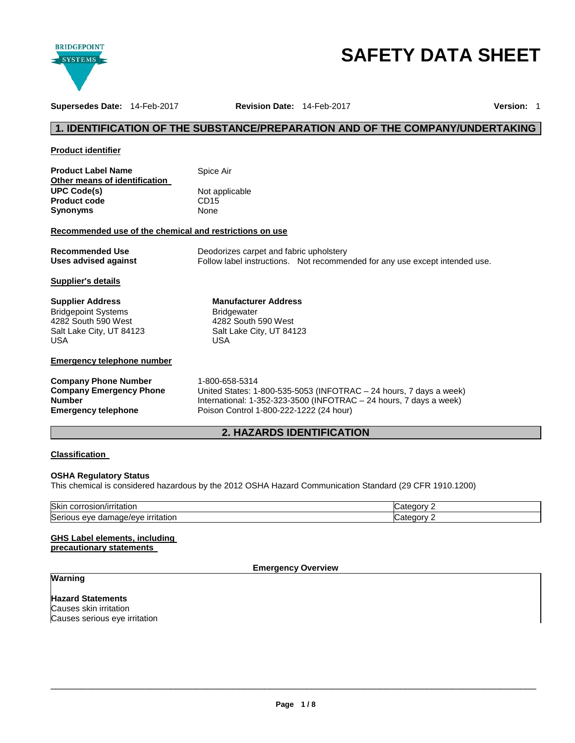

# **SAFETY DATA SHEET**

**Supersedes Date:** 14-Feb-2017 **Revision Date:** 14-Feb-2017 **Version:** 1

# **1. IDENTIFICATION OF THE SUBSTANCE/PREPARATION AND OF THE COMPANY/UNDERTAKING**

# **Product identifier**

| <b>Product Label Name</b>     | Spice Air        |
|-------------------------------|------------------|
| Other means of identification |                  |
| <b>UPC Code(s)</b>            | Not applicable   |
| <b>Product code</b>           | CD <sub>15</sub> |
| <b>Synonyms</b>               | None             |

#### **Recommended use of the chemical and restrictions on use**

**Emergency telephone** Poison Control 1-800-222-1222 (24 hour)

| <b>Recommended Use</b> | Deodorizes carpet and fabric upholstery |                                                                             |
|------------------------|-----------------------------------------|-----------------------------------------------------------------------------|
| Uses advised against   |                                         | Follow label instructions. Not recommended for any use except intended use. |

# **Supplier's details**

| <b>Supplier Address</b>           | <b>Manufacturer Address</b>                                        |
|-----------------------------------|--------------------------------------------------------------------|
| <b>Bridgepoint Systems</b>        | <b>Bridgewater</b>                                                 |
| 4282 South 590 West               | 4282 South 590 West                                                |
| Salt Lake City, UT 84123          | Salt Lake City, UT 84123                                           |
| <b>USA</b>                        | USA                                                                |
| <b>Emergency telephone number</b> |                                                                    |
| <b>Company Phone Number</b>       | 1-800-658-5314                                                     |
| <b>Company Emergency Phone</b>    | United States: 1-800-535-5053 (INFOTRAC - 24 hours, 7 days a week) |

# **2. HAZARDS IDENTIFICATION**

International: 1-352-323-3500 (INFOTRAC – 24 hours, 7 days a week)

# **Classification**

**Number** 

#### **OSHA Regulatory Status**

This chemical is considered hazardous by the 2012 OSHA Hazard Communication Standard (29 CFR 1910.1200)

| <b>Skin</b><br>$1.221 + 2.221$<br>тптатог.<br>COLLOSIOL<br>7 H             | -----<br>- 1 |
|----------------------------------------------------------------------------|--------------|
| Serio<br>$\sim$ $\sim$<br><b>irritation</b><br>eve<br>ade/eve and a<br>aaı |              |

#### **GHS Label elements, including precautionary statements**

# **Emergency Overview**

# **Warning**

**Hazard Statements** Causes skin irritation Causes serious eye irritation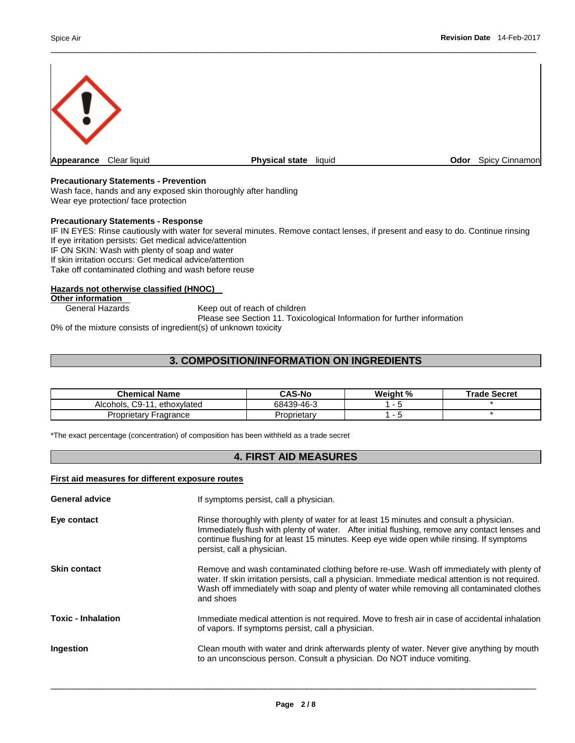

\_\_\_\_\_\_\_\_\_\_\_\_\_\_\_\_\_\_\_\_\_\_\_\_\_\_\_\_\_\_\_\_\_\_\_\_\_\_\_\_\_\_\_\_\_\_\_\_\_\_\_\_\_\_\_\_\_\_\_\_\_\_\_\_\_\_\_\_\_\_\_\_\_\_\_\_\_\_\_\_\_\_\_\_\_\_\_\_\_\_\_\_\_

#### **Precautionary Statements - Prevention**

Wash face, hands and any exposed skin thoroughly after handling Wear eye protection/ face protection

#### **Precautionary Statements - Response**

IF IN EYES: Rinse cautiously with water for several minutes. Remove contact lenses, if present and easy to do. Continue rinsing If eye irritation persists: Get medical advice/attention IF ON SKIN: Wash with plenty of soap and water If skin irritation occurs: Get medical advice/attention Take off contaminated clothing and wash before reuse

## **Hazards not otherwise classified (HNOC)**

**Other information**<br>General Hazards

Keep out of reach of children

Please see Section 11. Toxicological Information for further information

0% of the mixture consists of ingredient(s) of unknown toxicity

# **3. COMPOSITION/INFORMATION ON INGREDIENTS**

| <b>Chemical Name</b>                | <b>CAS-No</b> | Weight % | <b>Trade Secret</b> |
|-------------------------------------|---------------|----------|---------------------|
| $C9-11$<br>Alcohols.<br>ethoxylated | 68439-46-3    |          |                     |
| Proprietary Fragrance               | Proprietarv   | -        |                     |

\*The exact percentage (concentration) of composition has been withheld as a trade secret

# **4. FIRST AID MEASURES**

# **First aid measures for different exposure routes**

| <b>General advice</b>     | If symptoms persist, call a physician.                                                                                                                                                                                                                                                                            |
|---------------------------|-------------------------------------------------------------------------------------------------------------------------------------------------------------------------------------------------------------------------------------------------------------------------------------------------------------------|
| Eye contact               | Rinse thoroughly with plenty of water for at least 15 minutes and consult a physician.<br>Immediately flush with plenty of water. After initial flushing, remove any contact lenses and<br>continue flushing for at least 15 minutes. Keep eye wide open while rinsing. If symptoms<br>persist, call a physician. |
| <b>Skin contact</b>       | Remove and wash contaminated clothing before re-use. Wash off immediately with plenty of<br>water. If skin irritation persists, call a physician. Immediate medical attention is not required.<br>Wash off immediately with soap and plenty of water while removing all contaminated clothes<br>and shoes         |
| <b>Toxic - Inhalation</b> | Immediate medical attention is not required. Move to fresh air in case of accidental inhalation<br>of vapors. If symptoms persist, call a physician.                                                                                                                                                              |
| <b>Ingestion</b>          | Clean mouth with water and drink afterwards plenty of water. Never give anything by mouth<br>to an unconscious person. Consult a physician. Do NOT induce vomiting.                                                                                                                                               |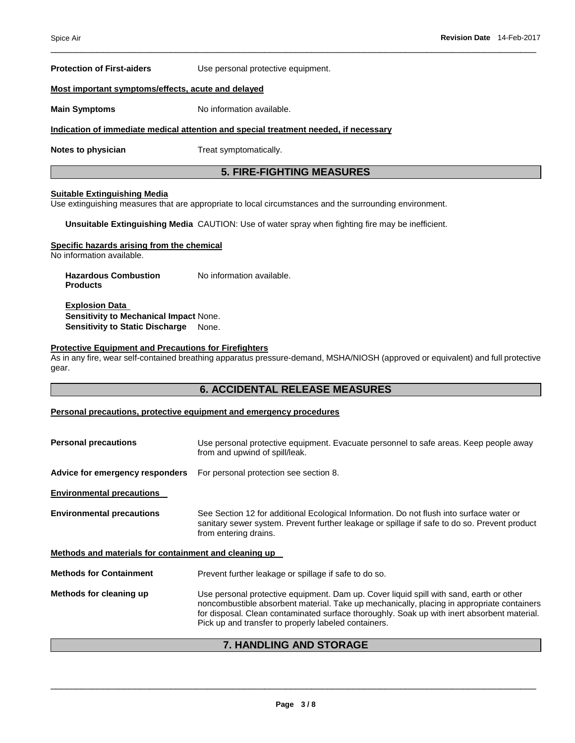**Protection of First-aiders** Use personal protective equipment.

#### **Most important symptoms/effects, acute and delayed**

**Main Symptoms No information available.** 

#### **Indication of immediate medical attention and special treatment needed, if necessary**

**Notes to physician Treat symptomatically.** 

# **5. FIRE-FIGHTING MEASURES**

\_\_\_\_\_\_\_\_\_\_\_\_\_\_\_\_\_\_\_\_\_\_\_\_\_\_\_\_\_\_\_\_\_\_\_\_\_\_\_\_\_\_\_\_\_\_\_\_\_\_\_\_\_\_\_\_\_\_\_\_\_\_\_\_\_\_\_\_\_\_\_\_\_\_\_\_\_\_\_\_\_\_\_\_\_\_\_\_\_\_\_\_\_

# **Suitable Extinguishing Media**

Use extinguishing measures that are appropriate to local circumstances and the surrounding environment.

**Unsuitable Extinguishing Media** CAUTION: Use of water spray when fighting fire may be inefficient.

#### **Specific hazards arising from the chemical**

No information available.

**Hazardous Combustion Products**  No information available.

**Explosion Data Sensitivity to Mechanical Impact** None. **Sensitivity to Static Discharge** None.

#### **Protective Equipment and Precautions for Firefighters**

As in any fire, wear self-contained breathing apparatus pressure-demand, MSHA/NIOSH (approved or equivalent) and full protective gear.

# **6. ACCIDENTAL RELEASE MEASURES**

#### **Personal precautions, protective equipment and emergency procedures**

| <b>Personal precautions</b>                           | Use personal protective equipment. Evacuate personnel to safe areas. Keep people away<br>from and upwind of spill/leak.                                                                                                                                                                                                                      |  |
|-------------------------------------------------------|----------------------------------------------------------------------------------------------------------------------------------------------------------------------------------------------------------------------------------------------------------------------------------------------------------------------------------------------|--|
| Advice for emergency responders                       | For personal protection see section 8.                                                                                                                                                                                                                                                                                                       |  |
| <b>Environmental precautions</b>                      |                                                                                                                                                                                                                                                                                                                                              |  |
| <b>Environmental precautions</b>                      | See Section 12 for additional Ecological Information. Do not flush into surface water or<br>sanitary sewer system. Prevent further leakage or spillage if safe to do so. Prevent product<br>from entering drains.                                                                                                                            |  |
| Methods and materials for containment and cleaning up |                                                                                                                                                                                                                                                                                                                                              |  |
| <b>Methods for Containment</b>                        | Prevent further leakage or spillage if safe to do so.                                                                                                                                                                                                                                                                                        |  |
| Methods for cleaning up                               | Use personal protective equipment. Dam up. Cover liquid spill with sand, earth or other<br>noncombustible absorbent material. Take up mechanically, placing in appropriate containers<br>for disposal. Clean contaminated surface thoroughly. Soak up with inert absorbent material.<br>Pick up and transfer to properly labeled containers. |  |

# **7. HANDLING AND STORAGE**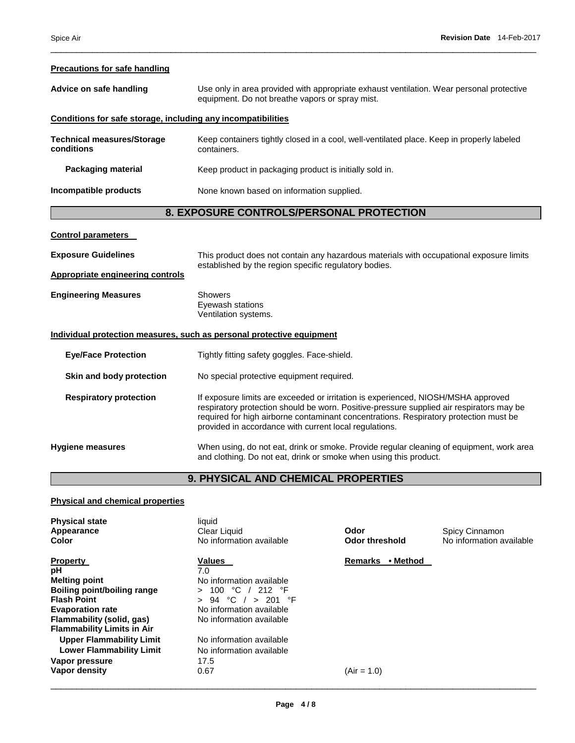# **Precautions for safe handling Advice on safe handling** Use only in area provided with appropriate exhaust ventilation. Wear personal protective equipment. Do not breathe vapors or spray mist. **Conditions for safe storage, including any incompatibilities Technical measures/Storage conditions**  Keep containers tightly closed in a cool, well-ventilated place. Keep in properly labeled containers.

**Packaging material Keep product in packaging product is initially sold in. Incompatible products** None known based on information supplied.

# **8. EXPOSURE CONTROLS/PERSONAL PROTECTION**

\_\_\_\_\_\_\_\_\_\_\_\_\_\_\_\_\_\_\_\_\_\_\_\_\_\_\_\_\_\_\_\_\_\_\_\_\_\_\_\_\_\_\_\_\_\_\_\_\_\_\_\_\_\_\_\_\_\_\_\_\_\_\_\_\_\_\_\_\_\_\_\_\_\_\_\_\_\_\_\_\_\_\_\_\_\_\_\_\_\_\_\_\_

| <b>Control parameters</b>                                                    |                                                                                                                                                                                                                                                                                                                                  |
|------------------------------------------------------------------------------|----------------------------------------------------------------------------------------------------------------------------------------------------------------------------------------------------------------------------------------------------------------------------------------------------------------------------------|
| <b>Exposure Guidelines</b>                                                   | This product does not contain any hazardous materials with occupational exposure limits<br>established by the region specific regulatory bodies.                                                                                                                                                                                 |
| <b>Appropriate engineering controls</b>                                      |                                                                                                                                                                                                                                                                                                                                  |
| <b>Engineering Measures</b>                                                  | <b>Showers</b><br>Eyewash stations<br>Ventilation systems.                                                                                                                                                                                                                                                                       |
| <u>Individual protection measures, such as personal protective equipment</u> |                                                                                                                                                                                                                                                                                                                                  |
| <b>Eye/Face Protection</b>                                                   | Tightly fitting safety goggles. Face-shield.                                                                                                                                                                                                                                                                                     |
| Skin and body protection                                                     | No special protective equipment required.                                                                                                                                                                                                                                                                                        |
| <b>Respiratory protection</b>                                                | If exposure limits are exceeded or irritation is experienced, NIOSH/MSHA approved<br>respiratory protection should be worn. Positive-pressure supplied air respirators may be<br>required for high airborne contaminant concentrations. Respiratory protection must be<br>provided in accordance with current local regulations. |
| Hygiene measures                                                             | When using, do not eat, drink or smoke. Provide regular cleaning of equipment, work area<br>and clothing. Do not eat, drink or smoke when using this product.                                                                                                                                                                    |

# **9. PHYSICAL AND CHEMICAL PROPERTIES**

# **Physical and chemical properties**

| <b>Physical state</b><br>Appearance<br><b>Color</b> | liquid<br>Clear Liquid<br>No information available | Odor<br><b>Odor threshold</b> | Spicy Cinnamon<br>No information available |
|-----------------------------------------------------|----------------------------------------------------|-------------------------------|--------------------------------------------|
| <b>Property</b>                                     | <b>Values</b>                                      | • Method<br>Remarks           |                                            |
| рH                                                  | 7.0                                                |                               |                                            |
| <b>Melting point</b>                                | No information available                           |                               |                                            |
| Boiling point/boiling range                         | 100 °C<br>′ 212 °F<br>$\geq$                       |                               |                                            |
| <b>Flash Point</b>                                  | 94 °C $/$ > 201 °F<br>$\geq$                       |                               |                                            |
| <b>Evaporation rate</b>                             | No information available                           |                               |                                            |
| Flammability (solid, gas)                           | No information available                           |                               |                                            |
| <b>Flammability Limits in Air</b>                   |                                                    |                               |                                            |
| <b>Upper Flammability Limit</b>                     | No information available                           |                               |                                            |
| <b>Lower Flammability Limit</b>                     | No information available                           |                               |                                            |
| Vapor pressure                                      | 17.5                                               |                               |                                            |
| Vapor density                                       | 0.67                                               | $(Air = 1.0)$                 |                                            |
|                                                     |                                                    |                               |                                            |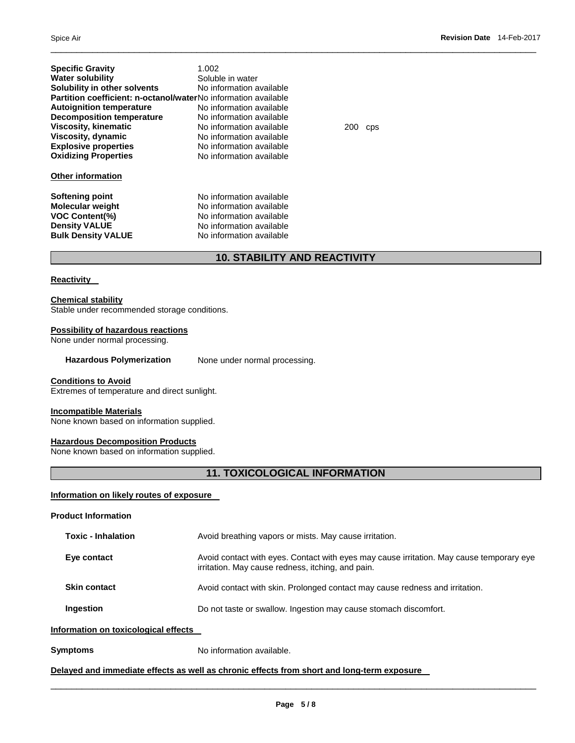| <b>Specific Gravity</b><br><b>Water solubility</b><br>Solubility in other solvents<br>Partition coefficient: n-octanol/waterNo information available<br><b>Autoignition temperature</b><br><b>Decomposition temperature</b><br><b>Viscosity, kinematic</b><br>Viscosity, dynamic<br><b>Explosive properties</b><br><b>Oxidizing Properties</b><br><b>Other information</b> | 1.002<br>Soluble in water<br>No information available<br>No information available<br>No information available<br>No information available<br>No information available<br>No information available<br>No information available | 200 | <b>CDS</b> |
|----------------------------------------------------------------------------------------------------------------------------------------------------------------------------------------------------------------------------------------------------------------------------------------------------------------------------------------------------------------------------|-------------------------------------------------------------------------------------------------------------------------------------------------------------------------------------------------------------------------------|-----|------------|
| Softening point<br><b>Molecular weight</b><br><b>VOC Content(%)</b><br><b>Density VALUE</b><br><b>Bulk Density VALUE</b>                                                                                                                                                                                                                                                   | No information available<br>No information available<br>No information available<br>No information available<br>No information available                                                                                      |     |            |

# **10. STABILITY AND REACTIVITY**

\_\_\_\_\_\_\_\_\_\_\_\_\_\_\_\_\_\_\_\_\_\_\_\_\_\_\_\_\_\_\_\_\_\_\_\_\_\_\_\_\_\_\_\_\_\_\_\_\_\_\_\_\_\_\_\_\_\_\_\_\_\_\_\_\_\_\_\_\_\_\_\_\_\_\_\_\_\_\_\_\_\_\_\_\_\_\_\_\_\_\_\_\_

# **Reactivity**

## **Chemical stability**

Stable under recommended storage conditions.

# **Possibility of hazardous reactions**

None under normal processing.

| <b>Hazardous Polymerization</b> | None under normal processing. |
|---------------------------------|-------------------------------|
|---------------------------------|-------------------------------|

# **Conditions to Avoid**

Extremes of temperature and direct sunlight.

#### **Incompatible Materials**

None known based on information supplied.

#### **Hazardous Decomposition Products**

None known based on information supplied.

# **11. TOXICOLOGICAL INFORMATION**

# **Information on likely routes of exposure**

| <b>Product Information</b>           |                                                                                                                                               |
|--------------------------------------|-----------------------------------------------------------------------------------------------------------------------------------------------|
| <b>Toxic - Inhalation</b>            | Avoid breathing vapors or mists. May cause irritation.                                                                                        |
| Eye contact                          | Avoid contact with eyes. Contact with eyes may cause irritation. May cause temporary eye<br>irritation. May cause redness, itching, and pain. |
| <b>Skin contact</b>                  | Avoid contact with skin. Prolonged contact may cause redness and irritation.                                                                  |
| Ingestion                            | Do not taste or swallow. Ingestion may cause stomach discomfort.                                                                              |
| Information on toxicological effects |                                                                                                                                               |
| <b>Symptoms</b>                      | No information available.                                                                                                                     |

# **Delayed and immediate effects as well as chronic effects from short and long-term exposure**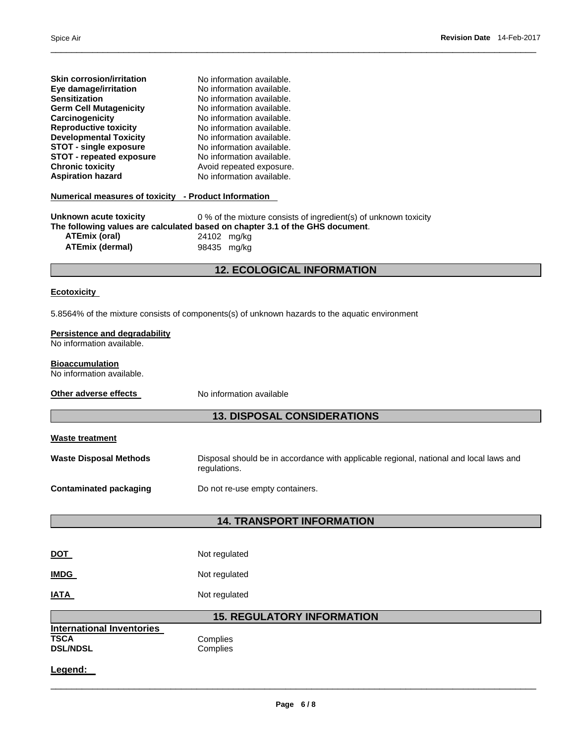**Skin corrosion/irritation No information available.** 

| Eye damage/irritation<br>Sensitization<br><b>Germ Cell Mutagenicity</b><br>Carcinogenicity<br><b>Reproductive toxicity</b> | No information available.<br>No information available.<br>No information available.<br>No information available.<br>No information available.     |  |  |  |
|----------------------------------------------------------------------------------------------------------------------------|---------------------------------------------------------------------------------------------------------------------------------------------------|--|--|--|
| <b>Developmental Toxicity</b>                                                                                              | No information available.                                                                                                                         |  |  |  |
| <b>STOT - single exposure</b><br><b>STOT - repeated exposure</b>                                                           | No information available.                                                                                                                         |  |  |  |
| <b>Chronic toxicity</b>                                                                                                    | No information available.<br>Avoid repeated exposure.                                                                                             |  |  |  |
| <b>Aspiration hazard</b>                                                                                                   | No information available.                                                                                                                         |  |  |  |
| <u>Numerical measures of toxicity - Product Information</u>                                                                |                                                                                                                                                   |  |  |  |
| Unknown acute toxicity                                                                                                     | 0 % of the mixture consists of ingredient(s) of unknown toxicity<br>The following values are calculated based on chapter 3.1 of the GHS document. |  |  |  |
| <b>ATEmix (oral)</b><br><b>ATEmix (dermal)</b>                                                                             | 24102 mg/kg<br>98435 mg/kg                                                                                                                        |  |  |  |
|                                                                                                                            |                                                                                                                                                   |  |  |  |
|                                                                                                                            | <b>12. ECOLOGICAL INFORMATION</b>                                                                                                                 |  |  |  |
| <b>Ecotoxicity</b>                                                                                                         |                                                                                                                                                   |  |  |  |
|                                                                                                                            | 5.8564% of the mixture consists of components(s) of unknown hazards to the aquatic environment                                                    |  |  |  |
| Persistence and degradability<br>No information available.                                                                 |                                                                                                                                                   |  |  |  |
| <b>Bioaccumulation</b><br>No information available.                                                                        |                                                                                                                                                   |  |  |  |
| Other adverse effects                                                                                                      | No information available                                                                                                                          |  |  |  |
|                                                                                                                            | <b>13. DISPOSAL CONSIDERATIONS</b>                                                                                                                |  |  |  |
| <b>Waste treatment</b>                                                                                                     |                                                                                                                                                   |  |  |  |
| <b>Waste Disposal Methods</b>                                                                                              | Disposal should be in accordance with applicable regional, national and local laws and<br>regulations.                                            |  |  |  |
| <b>Contaminated packaging</b>                                                                                              | Do not re-use empty containers.                                                                                                                   |  |  |  |
|                                                                                                                            |                                                                                                                                                   |  |  |  |
|                                                                                                                            | <b>14. TRANSPORT INFORMATION</b>                                                                                                                  |  |  |  |
| <b>DOT</b>                                                                                                                 | Not regulated                                                                                                                                     |  |  |  |
| <b>IMDG</b>                                                                                                                | Not regulated                                                                                                                                     |  |  |  |
| <b>IATA</b>                                                                                                                | Not regulated                                                                                                                                     |  |  |  |
|                                                                                                                            | <b>15. REGULATORY INFORMATION</b>                                                                                                                 |  |  |  |
| <b>International Inventories</b><br><b>TSCA</b><br><b>DSL/NDSL</b>                                                         | Complies<br>Complies                                                                                                                              |  |  |  |
| Legend:                                                                                                                    |                                                                                                                                                   |  |  |  |
|                                                                                                                            |                                                                                                                                                   |  |  |  |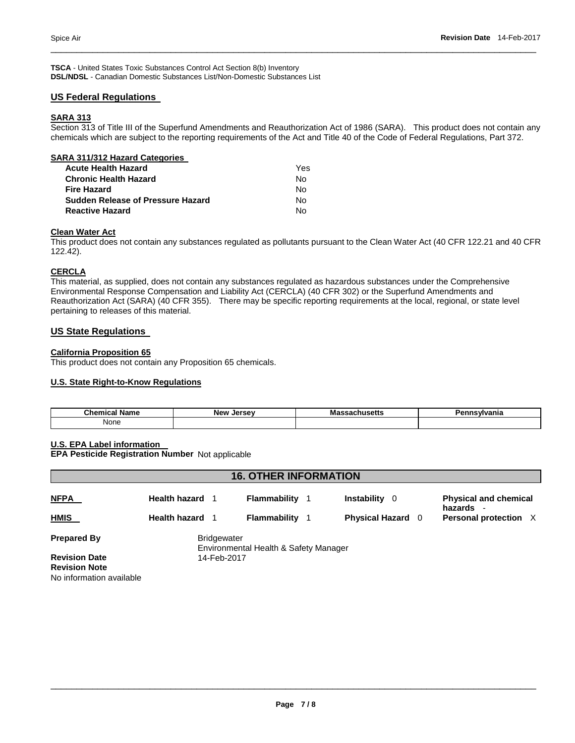**TSCA** - United States Toxic Substances Control Act Section 8(b) Inventory **DSL/NDSL** - Canadian Domestic Substances List/Non-Domestic Substances List

# **US Federal Regulations**

# **SARA 313**

Section 313 of Title III of the Superfund Amendments and Reauthorization Act of 1986 (SARA). This product does not contain any chemicals which are subject to the reporting requirements of the Act and Title 40 of the Code of Federal Regulations, Part 372.

\_\_\_\_\_\_\_\_\_\_\_\_\_\_\_\_\_\_\_\_\_\_\_\_\_\_\_\_\_\_\_\_\_\_\_\_\_\_\_\_\_\_\_\_\_\_\_\_\_\_\_\_\_\_\_\_\_\_\_\_\_\_\_\_\_\_\_\_\_\_\_\_\_\_\_\_\_\_\_\_\_\_\_\_\_\_\_\_\_\_\_\_\_

| SARA 311/312 Hazard Categories    |     |
|-----------------------------------|-----|
| <b>Acute Health Hazard</b>        | Yes |
| <b>Chronic Health Hazard</b>      | No  |
| Fire Hazard                       | No  |
| Sudden Release of Pressure Hazard | Nο  |
| <b>Reactive Hazard</b>            | N٥  |

#### **Clean Water Act**

This product does not contain any substances regulated as pollutants pursuant to the Clean Water Act (40 CFR 122.21 and 40 CFR 122.42).

# **CERCLA**

This material, as supplied, does not contain any substances regulated as hazardous substances under the Comprehensive Environmental Response Compensation and Liability Act (CERCLA) (40 CFR 302) or the Superfund Amendments and Reauthorization Act (SARA) (40 CFR 355). There may be specific reporting requirements at the local, regional, or state level pertaining to releases of this material.

# **US State Regulations**

# **California Proposition 65**

This product does not contain any Proposition 65 chemicals.

# **U.S. State Right-to-Know Regulations**

| $5$<br>∵Nam⊾<br>,,,,<br>. | <b>New</b><br>Jerse <sup>,</sup> | Мř | .<br>und |
|---------------------------|----------------------------------|----|----------|
| None                      |                                  |    |          |

**U.S. EPA Label information** 

**EPA Pesticide Registration Number** Not applicable

| <b>16. OTHER INFORMATION</b> |                      |                                       |  |                           |  |                                                                     |  |  |
|------------------------------|----------------------|---------------------------------------|--|---------------------------|--|---------------------------------------------------------------------|--|--|
| <b>NFPA</b>                  | <b>Health hazard</b> | Flammability                          |  | <b>Instability</b><br>- 0 |  | <b>Physical and chemical</b><br>hazards<br>$\overline{\phantom{a}}$ |  |  |
| <b>HMIS</b>                  | <b>Health hazard</b> | Flammability                          |  | <b>Physical Hazard</b> 0  |  | Personal protection X                                               |  |  |
| <b>Prepared By</b>           | <b>Bridgewater</b>   | Environmental Health & Safety Manager |  |                           |  |                                                                     |  |  |
| <b>Revision Date</b>         | 14-Feb-2017          |                                       |  |                           |  |                                                                     |  |  |
| <b>Revision Note</b>         |                      |                                       |  |                           |  |                                                                     |  |  |
| No information available     |                      |                                       |  |                           |  |                                                                     |  |  |